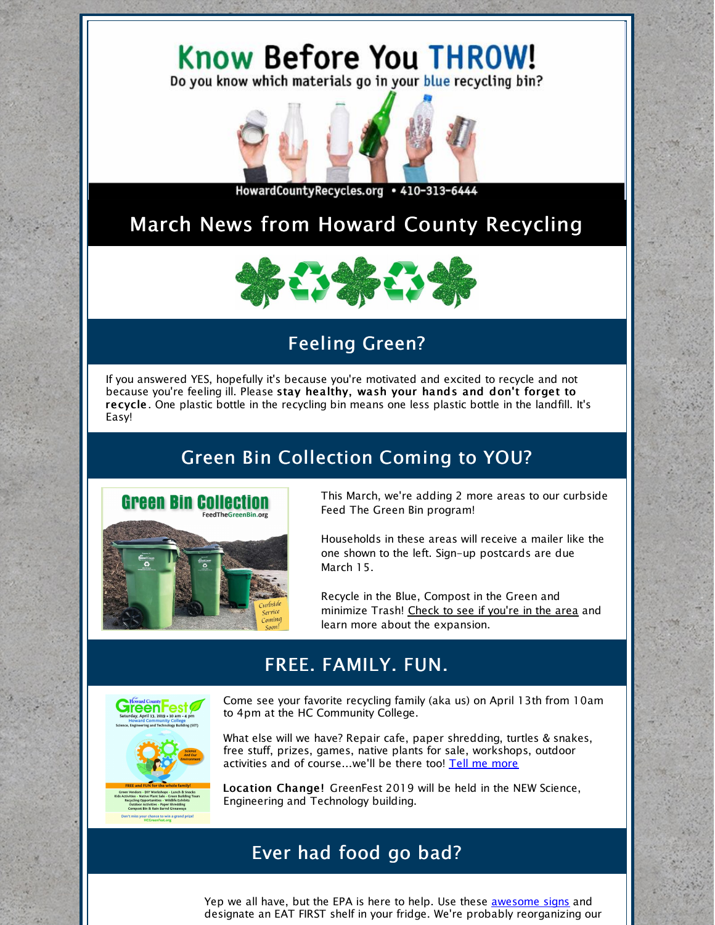# Know Before You THROW!

Do you know which materials go in your blue recycling bin?



HowardCountyRecycles.org • 410-313-6444

### March News from Howard County Recycling



### Feeling Green?

If you answered YES, hopefully it's because you're motivated and excited to recycle and not because you're feeling ill. Please stay healthy, wash your hands and don't forget to recycle . One plastic bottle in the recycling bin means one less plastic bottle in the landfill. It's Easy!

## Green Bin Collection Coming to YOU?



This March, we're adding 2 more areas to our curbside Feed The Green Bin program!

Households in these areas will receive a mailer like the one shown to the left. Sign-up postcards are due March 15.

Recycle in the Blue, Compost in the Green and minimize Trash! Check to see if [you're](http://feedthegreenbin.org/) in the area and learn more about the expansion.

#### FREE. FAMILY. FUN.



Come see your favorite recycling family (aka us) on April 13th from 10am to 4pm at the HC Community College.



What else will we have? Repair cafe, paper shredding, turtles & snakes, free stuff, prizes, games, native plants for sale, workshops, outdoor activities and of course...we'll be there too! Tell me [more](http://hcgreenfest.org)

Location Change! GreenFest 2019 will be held in the NEW Science, Engineering and Technology building.

#### Ever had food go bad?

Yep we all have, but the EPA is here to help. Use these [awesome](https://www.howardcountymd.gov/LinkClick.aspx?fileticket=tGxESU6EpBQ%3d&portalid=0) signs and designate an EAT FIRST shelf in your fridge. We're probably reorganizing our